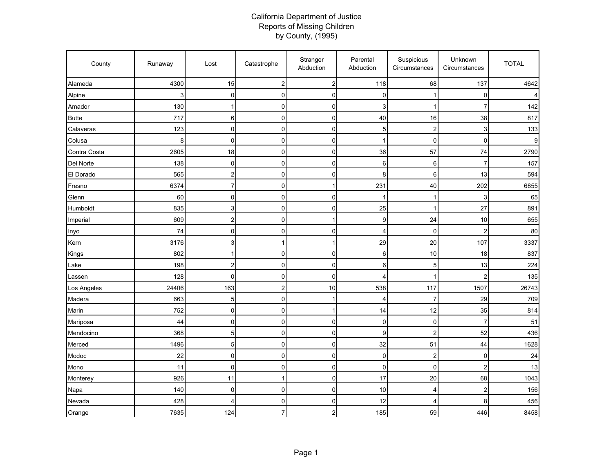## California Department of Justice Reports of Missing Children by County, (1995)

| County       | Runaway | Lost            | Catastrophe      | Stranger<br>Abduction | Parental<br>Abduction | Suspicious<br>Circumstances | Unknown<br>Circumstances | <b>TOTAL</b> |
|--------------|---------|-----------------|------------------|-----------------------|-----------------------|-----------------------------|--------------------------|--------------|
| Alameda      | 4300    | 15              | $\boldsymbol{2}$ | $\mathbf{2}$          | 118                   | 68                          | 137                      | 4642         |
| Alpine       | 3       | $\mathbf 0$     | $\mathbf 0$      | $\mathbf 0$           | 0                     | 1                           | 0                        |              |
| Amador       | 130     | 1               | $\mathbf 0$      | $\mathbf 0$           | 3                     | 1                           | $\overline{7}$           | 142          |
| <b>Butte</b> | 717     | 6               | $\mathbf 0$      | 0                     | 40                    | 16                          | 38                       | 817          |
| Calaveras    | 123     | $\mathbf 0$     | $\mathbf 0$      | $\mathsf{O}\xspace$   | 5                     | 2                           | 3                        | 133          |
| Colusa       | 8       | $\mathbf 0$     | $\mathbf 0$      | $\overline{0}$        | 1                     | $\overline{0}$              | $\mathbf 0$              | 9            |
| Contra Costa | 2605    | 18              | $\mathbf 0$      | $\mathbf 0$           | 36                    | 57                          | 74                       | 2790         |
| Del Norte    | 138     | $\mathbf 0$     | $\mathbf 0$      | $\mathsf{O}\xspace$   | 6                     | 6                           | $\overline{7}$           | 157          |
| El Dorado    | 565     | $\overline{c}$  | $\mathbf 0$      | $\mathsf{O}\xspace$   | 8                     | 6                           | 13                       | 594          |
| Fresno       | 6374    | $\overline{7}$  | $\mathbf 0$      | $\mathbf{1}$          | 231                   | 40                          | 202                      | 6855         |
| Glenn        | 60      | $\mathbf 0$     | $\mathbf 0$      | 0                     | í                     | 1                           | 3                        | 65           |
| Humboldt     | 835     | 3               | $\mathbf 0$      | $\mathsf{O}\xspace$   | 25                    | 1                           | 27                       | 891          |
| Imperial     | 609     | $\overline{c}$  | $\mathbf 0$      | 1                     | 9                     | 24                          | 10                       | 655          |
| Inyo         | 74      | $\mathbf 0$     | $\mathbf 0$      | $\overline{0}$        | 4                     | $\overline{0}$              | $\overline{2}$           | 80           |
| Kern         | 3176    | $\mathbf{3}$    | 1                | $\mathbf{1}$          | 29                    | 20                          | 107                      | 3337         |
| Kings        | 802     | $\mathbf{1}$    | $\mathbf 0$      | $\mathsf 0$           | 6                     | 10                          | 18                       | 837          |
| Lake         | 198     | $\overline{2}$  | $\mathbf 0$      | $\overline{0}$        | 6                     | 5                           | 13                       | 224          |
| Lassen       | 128     | $\mathbf 0$     | $\mathbf 0$      | 0                     | 4                     | 1                           | $\overline{2}$           | 135          |
| Los Angeles  | 24406   | 163             | $\overline{c}$   | 10                    | 538                   | 117                         | 1507                     | 26743        |
| Madera       | 663     | 5               | $\mathbf 0$      | 1                     | 4                     | 7                           | 29                       | 709          |
| Marin        | 752     | $\mathbf 0$     | $\pmb{0}$        | $\mathbf{1}$          | 14                    | 12                          | 35                       | 814          |
| Mariposa     | 44      | $\mathbf 0$     | $\mathbf 0$      | 0                     | 0                     | $\mathbf 0$                 | $\overline{7}$           | 51           |
| Mendocino    | 368     | 5               | $\mathbf 0$      | $\mathsf 0$           | 9                     | 2                           | 52                       | 436          |
| Merced       | 1496    | $5\phantom{.0}$ | $\mathbf 0$      | $\mathsf{O}\xspace$   | 32                    | 51                          | 44                       | 1628         |
| Modoc        | 22      | $\mathbf 0$     | $\mathbf 0$      | $\overline{0}$        | 0                     | 2                           | $\mathbf 0$              | 24           |
| Mono         | 11      | $\mathbf 0$     | $\mathbf 0$      | $\mathbf 0$           | 0                     | $\overline{0}$              | $\overline{2}$           | 13           |
| Monterey     | 926     | 11              | 1                | $\overline{0}$        | 17                    | 20                          | 68                       | 1043         |
| Napa         | 140     | $\pmb{0}$       | $\mathbf 0$      | $\mathsf{O}\xspace$   | 10                    | 4                           | $\overline{2}$           | 156          |
| Nevada       | 428     | Δ               | $\mathbf 0$      | $\mathbf 0$           | 12                    | 4                           | 8                        | 456          |
| Orange       | 7635    | 124             | $\overline{7}$   | 2                     | 185                   | 59                          | 446                      | 8458         |